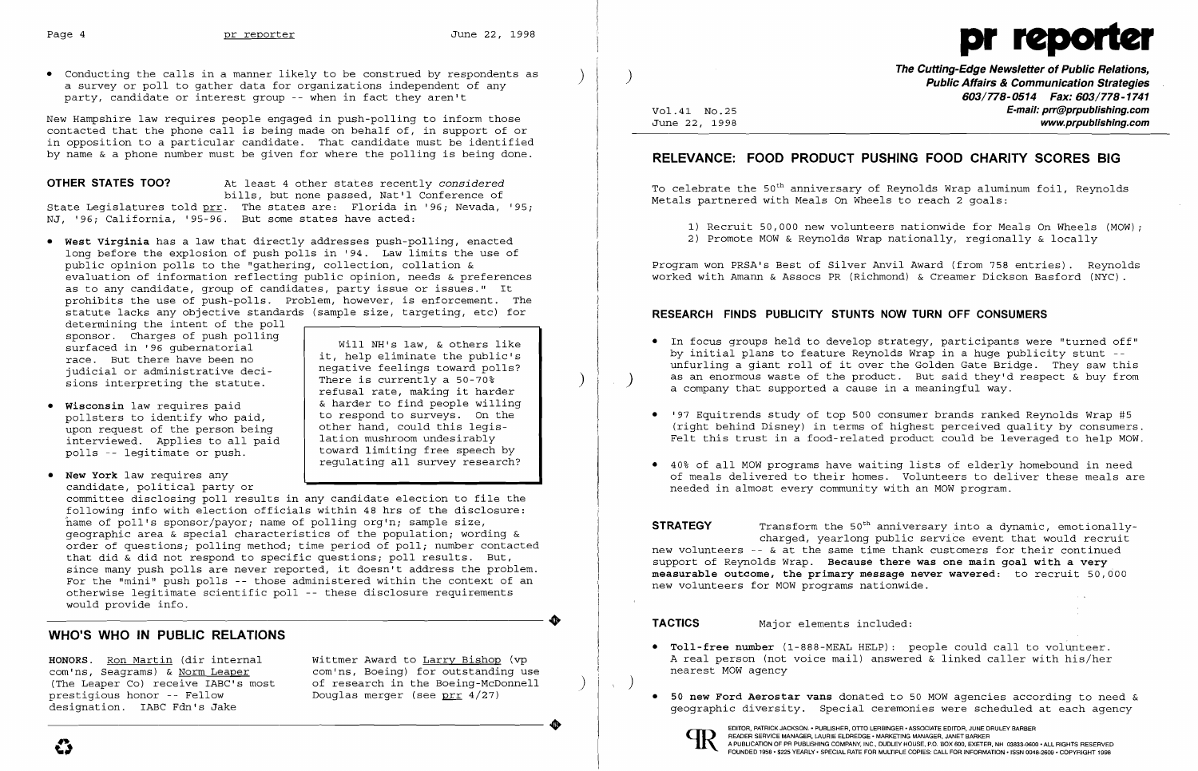

• Conducting the calls in a manner likely to be construed by respondents as a surveyor poll to gather data for organizations independent of any party, candidate or interest group -- when in fact they aren't

New Hampshire law requires people engaged in push-polling to inform those contacted that the phone call is being made on behalf of, in support of or in opposition to a particular candidate. That candidate must be identified by name & a phone number must be given for where the polling is being done.

## **OTHER STATES TOO?** At least 4 other states recently *considered*

determining the intent of the poll sponsor. Charges of push polling<br>surfaced in '96 gubernatorial it, help eliminate the public's<br>race. But there have been no it, help eliminate the public's<br>indicial or administrative decijudicial or administrative deci- The is currently a 50-70%<br>Fions interpreting the statute There is currently a 50-70% sions interpreting the statute.

bills, but none passed, Nat'l Conference of State Legislatures told prr. The states are: Florida in '96; Nevada, '95; NJ, '96; California, '95-96. But some states have acted:

- Wisconsin law requires paid  $\begin{array}{c|c} \bullet & \text{Water to find people willing }\\ \text{nollsters to identify who paid to respectively. On the\n\end{array}$ pollsters to identify who paid, to respond to surveys. On the<br>upon request of the person being bother hand, could this legisupon request of the person being interviewed. Applies to all paid polls -- legitimate or push.
- • **New York** law requires any candidate, political party or

• **West Virginia** has a law that directly addresses push-polling, enacted long before the explosion of push polls in '94. Law limits the use of public opinion polls to the "gathering, collection, collation & evaluation of information reflecting public opinion, needs  $\&$  preferences as to any candidate, group of candidates, party issue or issues." It prohibits the use of push-polls. Problem, however, is enforcement. The statute lacks any objective standards (sample size, targeting, etc) for

lation mushroom undesirably<br>toward limiting free speech by regulating all survey research? committee disclosing poll results in any candidate election to file the following info with election officials within 48 hrs of the disclosure: hame of poll's sponsor/payor; name of polling org'n; sample size, geographic area & special characteristics of the population; wording & order of questions; polling method; time period of poll; number contacted

**The Cutting-Edge Newsletter of Public Relations,** ) ) **Public Affairs & Communication Strategies 603/778-0514 Fax: 603/778-1741**  Vol.41 No.25<br>June 22, 1998 **E-mail: prr@prpublishing.com** www.prpublishing.com

refusal rate, making it harder

To celebrate the 50<sup>th</sup> anniversary of Reynolds Wrap aluminum foil, Reynolds Metals partnered with Meals On Wheels to reach 2 goals:

- 
- 

• In focus groups held to develop strategy, participants were "turned off" by initial plans to feature Reynolds Wrap in a huge publicity stunt unfurling a giant roll of it over the Golden Gate Bridge. They saw this as an enormous waste of the product. But said they'd respect & buy from<br>a company that supported a cause in a meaningful way.

**STRATEGY** Transform the 50<sup>th</sup> anniversary into a dynamic, emotionallycharged, yearlong public service event that would recruit new volunteers  $-$ - & at the same time thank customers for their continued support of Reynolds Wrap. **Because there was one main goal with a very measurable outcome, the primary message never wavered:** to recruit 50,000 new volunteers for MOW programs nationwide.

 $\sim$   $\sim$ 

that did & did not respond to specific questions; poll results. But, since many push polls are never reported, it doesn't address the problem. For the "mini" push polls -- those administered within the context of an otherwise legitimate scientific poll -- these disclosure requirements would provide info.

> **• 50 new Ford Aerostar vans** donated to 50 MOW agencies according to need & geographic diversity. Special ceremonies were scheduled at each agency

# **WHO'S WHO IN PUBLIC RELATIONS**

**HONORS.** <u>Ron Martin</u> (dir internal Wittmer Award to <u>Larry Bishop</u> (vp com'ns, Seagrams) & Norm Leaper com'ns, Boeing) for outstanding us com'ns, Seagrams) & <u>Norm Leaper</u> com'ns, Boeing) for outstanding use<br>(The Leaper Co) receive IABC's most of research in the Boeing-McDonnell (The Leaper Co) receive IABC's most of research in the Boeing-McDonnell<br>prestigious honor -- Fellow Douglas merger (see prr  $4/27$ ) prestigious honor -- Fellow Douglas merger (see prr 4/27)<br>designation. IABC Fdn's Jake

## **RELEVANCE: FOOD PRODUCT PUSHING FOOD CHARITY SCORES BIG**

1) Recruit 50,000 new volunteers nationwide for Meals On Wheels (MOW); 2) Promote MOW & Reynolds Wrap nationally, regionally & locally

Program won PRSA's Best of Silver Anvil Award (from 758 entries). Reynolds worked with Amann & Assocs PR (Richmond) & Creamer Dickson Basford (NYC).

## **RESEARCH FINDS PUBLICITY STUNTS NOW TURN OFF CONSUMERS**

• '97 Equitrends study of top 500 consumer brands ranked Reynolds Wrap #5 (right behind Disney) in terms of highest perceived quality by consumers. Felt this trust in a food-related product could be leveraged to help MOW.

• 40% of all MOW programs have waiting lists of elderly homebound in need of meals delivered to their homes. Volunteers to deliver these meals are

- 
- 
- needed in almost every community with an MOW program.

**• Toll-free number** (1-888-MEAL HELP): people could call to volunteer. A real person (not voice mail) answered & linked caller with his/her

- nearest MOW agency
- 



) )

**TACTICS** Major elements included: